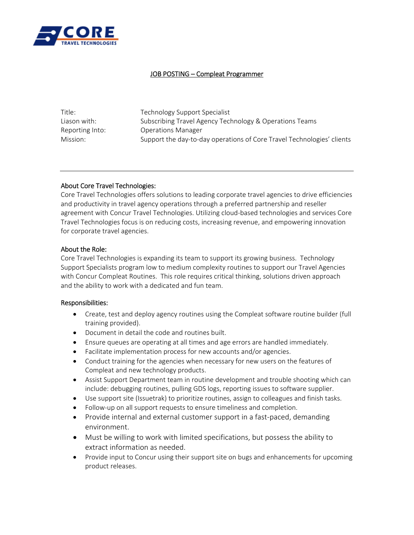

## JOB POSTING – Compleat Programmer

| Title:          | Technology Support Specialist                                          |
|-----------------|------------------------------------------------------------------------|
| Liason with:    | Subscribing Travel Agency Technology & Operations Teams                |
| Reporting Into: | <b>Operations Manager</b>                                              |
| Mission:        | Support the day-to-day operations of Core Travel Technologies' clients |

## About Core Travel Technologies:

Core Travel Technologies offers solutions to leading corporate travel agencies to drive efficiencies and productivity in travel agency operations through a preferred partnership and reseller agreement with Concur Travel Technologies. Utilizing cloud‐based technologies and services Core Travel Technologies focus is on reducing costs, increasing revenue, and empowering innovation for corporate travel agencies.

## About the Role:

Core Travel Technologies is expanding its team to support its growing business. Technology Support Specialists program low to medium complexity routines to support our Travel Agencies with Concur Compleat Routines. This role requires critical thinking, solutions driven approach and the ability to work with a dedicated and fun team.

#### Responsibilities:

- Create, test and deploy agency routines using the Compleat software routine builder (full training provided).
- Document in detail the code and routines built.
- Ensure queues are operating at all times and age errors are handled immediately.
- Facilitate implementation process for new accounts and/or agencies.
- Conduct training for the agencies when necessary for new users on the features of Compleat and new technology products.
- Assist Support Department team in routine development and trouble shooting which can include: debugging routines, pulling GDS logs, reporting issues to software supplier.
- Use support site (Issuetrak) to prioritize routines, assign to colleagues and finish tasks.
- Follow-up on all support requests to ensure timeliness and completion.
- Provide internal and external customer support in a fast-paced, demanding environment.
- Must be willing to work with limited specifications, but possess the ability to extract information as needed.
- Provide input to Concur using their support site on bugs and enhancements for upcoming product releases.